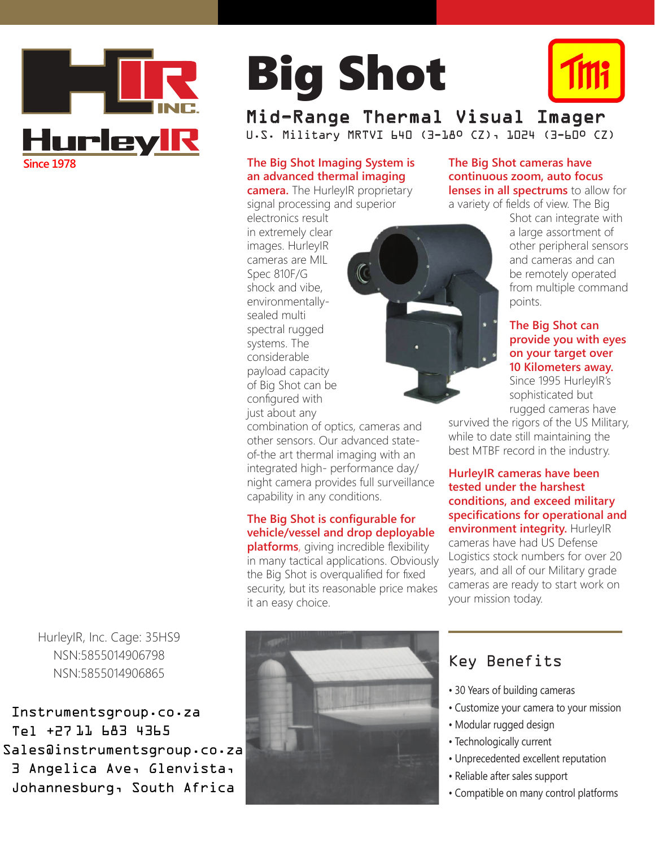

HurleyIR, Inc. Cage: 35HS9 NSN:5855014906798 NSN:5855014906865

Instrumentsgroup.co.za Tel +27 11 683 4365 Sales@instrumentsgroup.co.za 3 Angelica Ave, Glenvista, Johannesburg, South Africa

# Big Shot



Mid-Range Thermal Visual Imager U.S. Military MRTVI 640 (3-18º CZ), 1024 (3-60º CZ)

### **The Big Shot Imaging System is an advanced thermal imaging**

**camera.** The HurleyIR proprietary signal processing and superior

electronics result in extremely clear images. HurleyIR cameras are MIL Spec 810F/G shock and vibe, environmentallysealed multi spectral rugged systems. The considerable payload capacity of Big Shot can be configured with just about any

combination of optics, cameras and other sensors. Our advanced stateof-the art thermal imaging with an integrated high- performance day/ night camera provides full surveillance capability in any conditions.

#### **The Big Shot is configurable for vehicle/vessel and drop deployable**

**platforms**, giving incredible flexibility in many tactical applications. Obviously the Big Shot is overqualified for fixed security, but its reasonable price makes it an easy choice.

**The Big Shot cameras have continuous zoom, auto focus lenses in all spectrums** to allow for

a variety of fields of view. The Big

Shot can integrate with a large assortment of other peripheral sensors and cameras and can be remotely operated from multiple command points.

#### **The Big Shot can provide you with eyes on your target over 10 Kilometers away.**

Since 1995 HurleyIR's sophisticated but rugged cameras have

survived the rigors of the US Military, while to date still maintaining the best MTBF record in the industry.

**HurleyIR cameras have been tested under the harshest conditions, and exceed military specifications for operational and environment integrity.** HurleyIR cameras have had US Defense Logistics stock numbers for over 20 years, and all of our Military grade cameras are ready to start work on your mission today.



Key Benefits

- 30 Years of building cameras
- Customize your camera to your mission
- Modular rugged design
- Technologically current
- Unprecedented excellent reputation
- Reliable after sales support
- Compatible on many control platforms